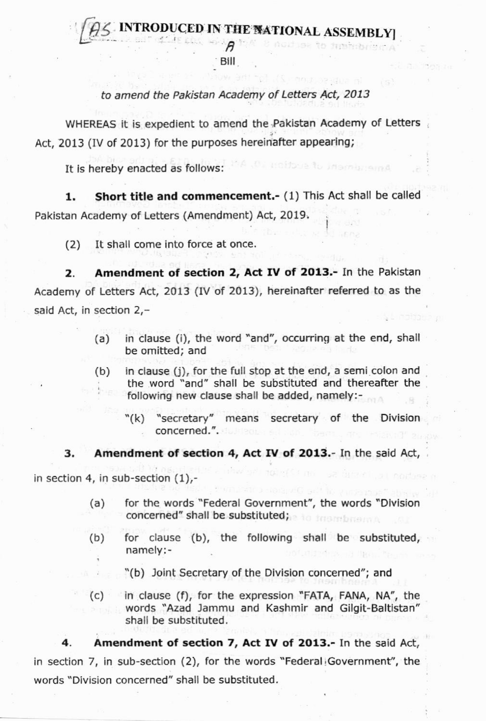Bill

## to amend the Pakistan Academy of Letters Act, 2013

WHEREAS it is expedient to amend the Pakistan Academy of Letters Act, 2013 (IV of 2013) for the purposes hereinafter appearing;

It is hereby enacted as follows:

1. Short title and commencement.- (1) This Act shall be called Pakistan Academy of Letters (Amendment) Act, 2019.

(2) lt shall come into force at once.

2. Amendment of section 2, Act IV of 2013.- In the Pakistan Academy of Letters Act, 2013 (lV of 2013), hereinafter referred to as the said Act, in section  $2, -$ 

> (a) in clause (i), the word "and", occurring at the end, shall be omitted; and

I

- (b) in clause (j), for the full stop at the end, a semi colon and the word "and" shall be substituted and thereafter the following new clause shall be added, namely:-
	- "(k) "secretary" means secretary of the Dlvlsion concerned.".

Amendment of section 4, Act IV of 2013.- In the said Act, 3

in section 4, in sub-section (1),-

- (a) for the words "Federal Govemment", the words "Dlvlsion concerned' shall be substituted;
- (b) for clause (b), the following shall be substituted, . namely:-
	- "(b) Joint Secretary of the Divlslon concerned"; and
- $(c)$  in clause (f), for the expression "FATA, FANA, NA", the words "Azad Jammu and Kashmir and Gilgit-Baltistan" shall be substituted.

4. Amendment of section 7, Act IV of 2013.- In the said Act, in section 7, in sub-section (2), for the words "Federal Government", the words "Division concerned" shall be substituted,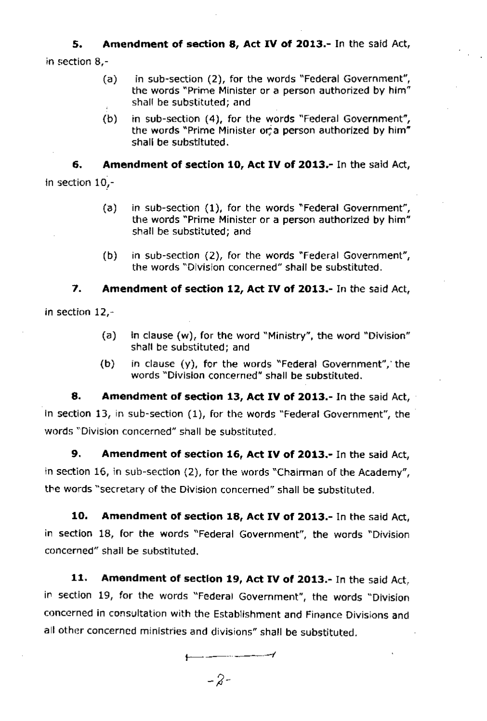## 5. Amendment of section 8, Act IV of 2013.- In the said Act,

in section 8.-

- (a) in sub-section (2), for the words "Federal Government", the words "Prime Minister or a person authorized by him" . shall be substituted; and
- (b) in sub-section (4), for the words "Federal Government", the words "Prime Minister or a person authorized by him" shall be substltuted.

6, Amondment of section lO, Act IV of 2013,- In the said Act, ln section 10,-

- (a) in sub-section (1), for the words'Federal Government", the words "Prime Minister or a person authorized by him" shall be substituted; and
- (b) in sub-section (2), for the words "Federal Government", the words "Division concerned" shall be substituted.

## 7. Amendment of section 12, Act IV of 2013.- In the said Act,

in section 12,

- (a) in clause  $(w)$ , for the word "Ministry", the word "Division" shall be substituted; and
- (b) in clause  $(y)$ , for the words "Federal Government", the words "Dlvision concerned" shall be substituted.

8. Amendment of section 13, Act IV of 2013.- In the said Act, in section 13, in sub-section (1), for the words "Federal Government", the words "Division concerned" shall be substituted.

9. Amendment of section 16, Act IV of 2013,- In the said Act, in section 16, in sub-section  $(2)$ , for the words "Chairman of the Academy", the words "secretary of the Division concerned" shall be substituted,

10. Amendment of section 18, Act IV of 2013.- In the said Act, in section 18, for the words "Federal Government", the words "Division concerned" shall be substituted.

11. Amendment of section 19, Act IV of 2013.- In the said Act, in section 19, for the words "Federal Government", the words "Division concerned in consultation with the Establishment and Finance Divisions and all other concerned ministries and divisions" shall be substituted.

 $\overline{\phantom{0}}$  $-2-$